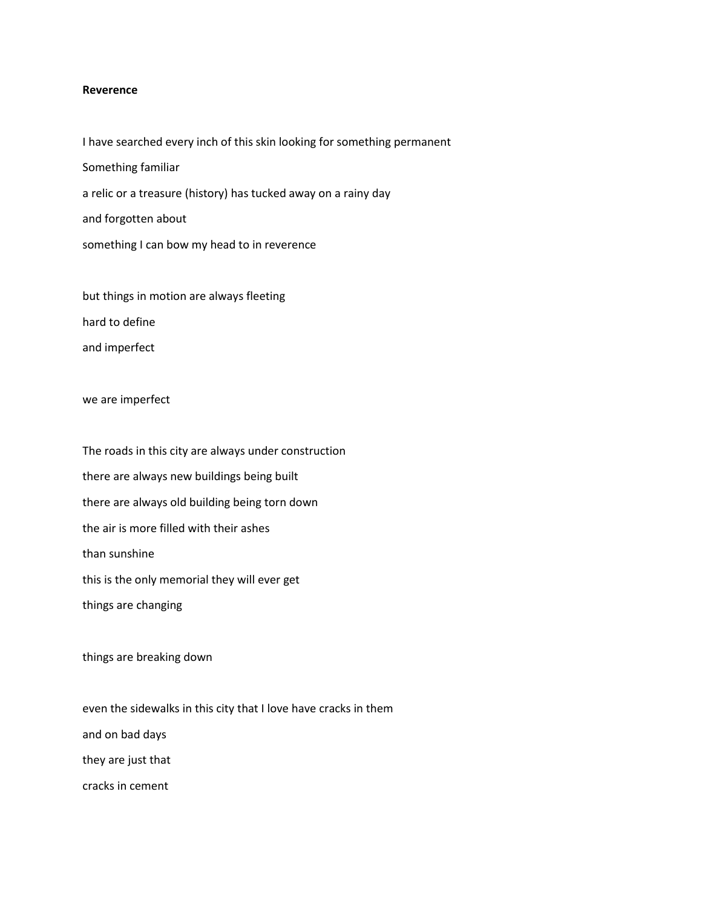## **Reverence**

I have searched every inch of this skin looking for something permanent Something familiar a relic or a treasure (history) has tucked away on a rainy day and forgotten about something I can bow my head to in reverence

but things in motion are always fleeting hard to define and imperfect

## we are imperfect

The roads in this city are always under construction there are always new buildings being built there are always old building being torn down the air is more filled with their ashes than sunshine this is the only memorial they will ever get things are changing

things are breaking down

even the sidewalks in this city that I love have cracks in them and on bad days they are just that cracks in cement